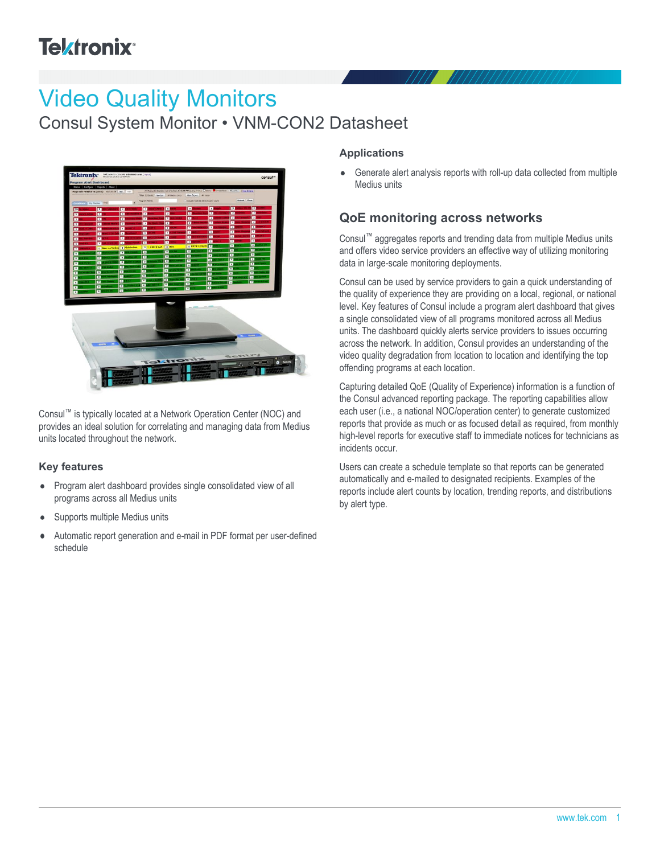# **Tektronix**<sup>®</sup>

# Video Quality Monitors

Consul System Monitor • VNM-CON2 Datasheet



Consul™ is typically located at a Network Operation Center (NOC) and provides an ideal solution for correlating and managing data from Medius units located throughout the network.

#### **Key features**

- Program alert dashboard provides single consolidated view of all  $\bullet$ programs across all Medius units
- Supports multiple Medius units  $\bullet$
- Automatic report generation and e-mail in PDF format per user-defined schedule

#### **Applications**

Generate alert analysis reports with roll-up data collected from multiple  $\bullet$ Medius units

## **QoE monitoring across networks**

Consul™ aggregates reports and trending data from multiple Medius units and offers video service providers an effective way of utilizing monitoring data in large-scale monitoring deployments.

Consul can be used by service providers to gain a quick understanding of the quality of experience they are providing on a local, regional, or national level. Key features of Consul include a program alert dashboard that gives a single consolidated view of all programs monitored across all Medius units. The dashboard quickly alerts service providers to issues occurring across the network. In addition, Consul provides an understanding of the video quality degradation from location to location and identifying the top offending programs at each location.

Capturing detailed QoE (Quality of Experience) information is a function of the Consul advanced reporting package. The reporting capabilities allow each user (i.e., a national NOC/operation center) to generate customized reports that provide as much or as focused detail as required, from monthly high-level reports for executive staff to immediate notices for technicians as incidents occur.

Users can create a schedule template so that reports can be generated automatically and e-mailed to designated recipients. Examples of the reports include alert counts by location, trending reports, and distributions by alert type.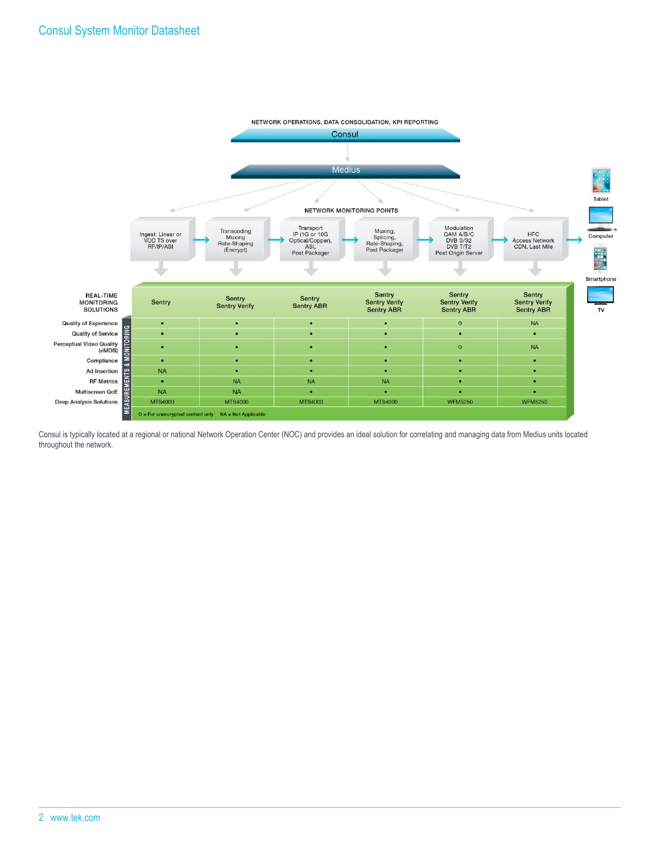

Consul is typically located at a regional or national Network Operation Center (NOC) and provides an ideal solution for correlating and managing data from Medius units located throughout the network.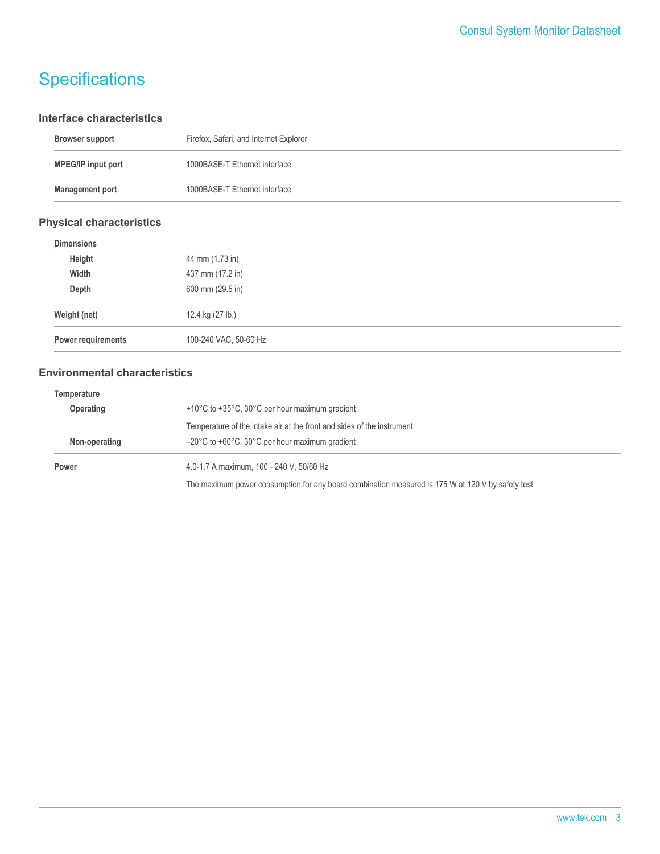# **Specifications**

#### **Interface characteristics**

| <b>Browser support</b>    | Firefox, Safari, and Internet Explorer |
|---------------------------|----------------------------------------|
| <b>MPEG/IP input port</b> | 1000BASE-T Ethernet interface          |
| <b>Management port</b>    | 1000BASE-T Ethernet interface          |

### **Physical characteristics**

| <b>Dimensions</b>  |                       |
|--------------------|-----------------------|
| Height             | 44 mm (1.73 in)       |
| Width              | 437 mm (17.2 in)      |
| Depth              | 600 mm (29.5 in)      |
| Weight (net)       | 12.4 kg (27 lb.)      |
| Power requirements | 100-240 VAC, 50-60 Hz |

### **Environmental characteristics**

| Temperature      |                                                                                                   |  |
|------------------|---------------------------------------------------------------------------------------------------|--|
| <b>Operating</b> | +10°C to +35°C, 30°C per hour maximum gradient                                                    |  |
|                  | Temperature of the intake air at the front and sides of the instrument                            |  |
| Non-operating    | $-20^{\circ}$ C to +60 $^{\circ}$ C, 30 $^{\circ}$ C per hour maximum gradient                    |  |
| Power            | 4.0-1.7 A maximum, 100 - 240 V, 50/60 Hz                                                          |  |
|                  | The maximum power consumption for any board combination measured is 175 W at 120 V by safety test |  |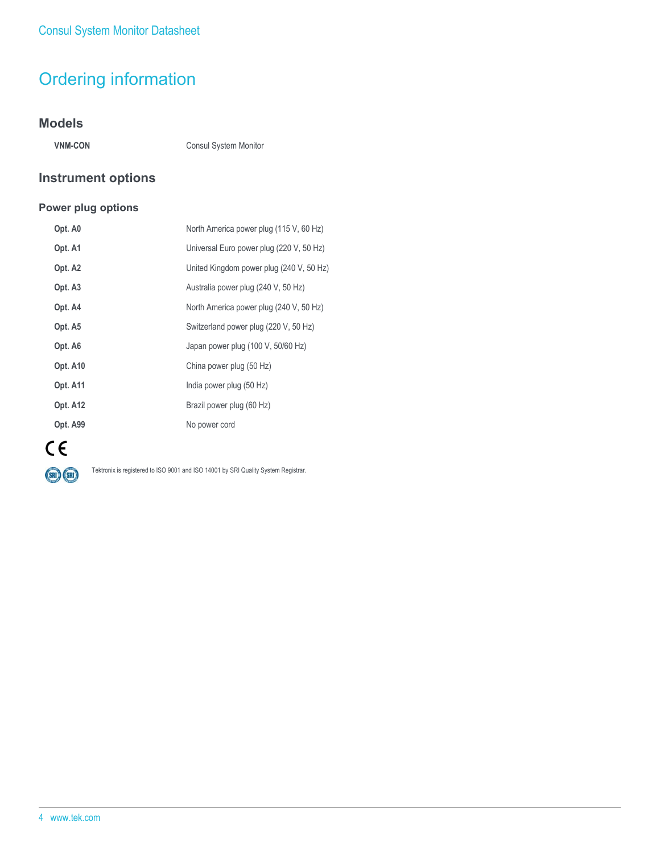# Ordering information

### **Models**

**VNM-CON** Consul System Monitor

### **Instrument options**

#### **Power plug options**

| Opt. A0         | North America power plug (115 V, 60 Hz)  |
|-----------------|------------------------------------------|
| Opt. A1         | Universal Euro power plug (220 V, 50 Hz) |
| Opt. A2         | United Kingdom power plug (240 V, 50 Hz) |
| Opt. A3         | Australia power plug (240 V, 50 Hz)      |
| Opt. A4         | North America power plug (240 V, 50 Hz)  |
| Opt. A5         | Switzerland power plug (220 V, 50 Hz)    |
| Opt. A6         | Japan power plug (100 V, 50/60 Hz)       |
| Opt. A10        | China power plug (50 Hz)                 |
| <b>Opt. A11</b> | India power plug (50 Hz)                 |
| <b>Opt. A12</b> | Brazil power plug (60 Hz)                |
| Opt. A99        | No power cord                            |
|                 |                                          |



Tektronix is registered to ISO 9001 and ISO 14001 by SRI Quality System Registrar.